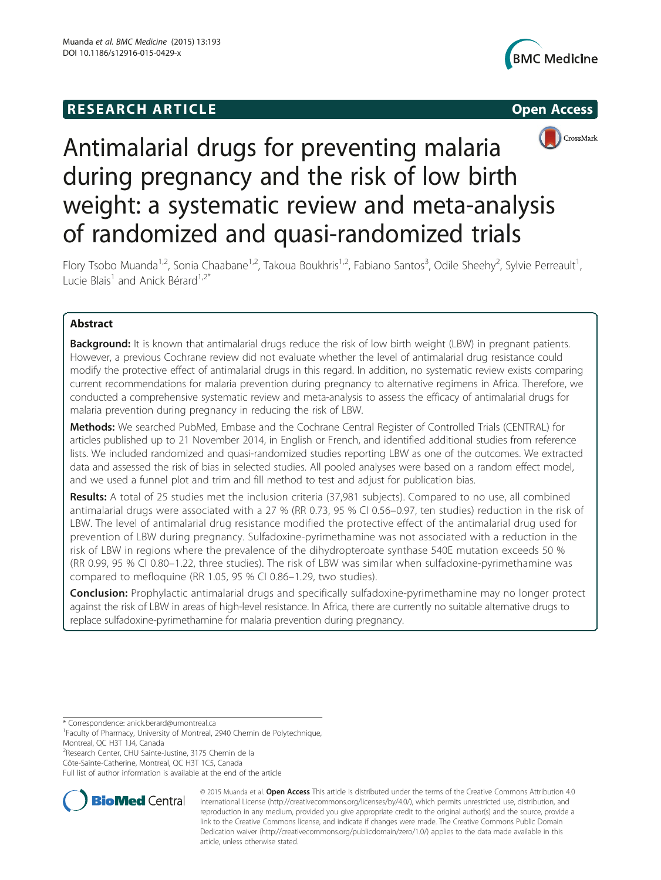# **RESEARCH ARTICLE Example 2014 The SEAR CH ACCESS**







# Antimalarial drugs for preventing malaria during pregnancy and the risk of low birth weight: a systematic review and meta-analysis of randomized and quasi-randomized trials

Flory Tsobo Muanda<sup>1,2</sup>, Sonia Chaabane<sup>1,2</sup>, Takoua Boukhris<sup>1,2</sup>, Fabiano Santos<sup>3</sup>, Odile Sheehy<sup>2</sup>, Sylvie Perreault<sup>1</sup> , Lucie Blais<sup>1</sup> and Anick Bérard<sup>1,2\*</sup>

# Abstract

Background: It is known that antimalarial drugs reduce the risk of low birth weight (LBW) in pregnant patients. However, a previous Cochrane review did not evaluate whether the level of antimalarial drug resistance could modify the protective effect of antimalarial drugs in this regard. In addition, no systematic review exists comparing current recommendations for malaria prevention during pregnancy to alternative regimens in Africa. Therefore, we conducted a comprehensive systematic review and meta-analysis to assess the efficacy of antimalarial drugs for malaria prevention during pregnancy in reducing the risk of LBW.

Methods: We searched PubMed, Embase and the Cochrane Central Register of Controlled Trials (CENTRAL) for articles published up to 21 November 2014, in English or French, and identified additional studies from reference lists. We included randomized and quasi-randomized studies reporting LBW as one of the outcomes. We extracted data and assessed the risk of bias in selected studies. All pooled analyses were based on a random effect model, and we used a funnel plot and trim and fill method to test and adjust for publication bias.

Results: A total of 25 studies met the inclusion criteria (37,981 subjects). Compared to no use, all combined antimalarial drugs were associated with a 27 % (RR 0.73, 95 % CI 0.56–0.97, ten studies) reduction in the risk of LBW. The level of antimalarial drug resistance modified the protective effect of the antimalarial drug used for prevention of LBW during pregnancy. Sulfadoxine-pyrimethamine was not associated with a reduction in the risk of LBW in regions where the prevalence of the dihydropteroate synthase 540E mutation exceeds 50 % (RR 0.99, 95 % CI 0.80–1.22, three studies). The risk of LBW was similar when sulfadoxine-pyrimethamine was compared to mefloquine (RR 1.05, 95 % CI 0.86–1.29, two studies).

Conclusion: Prophylactic antimalarial drugs and specifically sulfadoxine-pyrimethamine may no longer protect against the risk of LBW in areas of high-level resistance. In Africa, there are currently no suitable alternative drugs to replace sulfadoxine-pyrimethamine for malaria prevention during pregnancy.

\* Correspondence: [anick.berard@umontreal.ca](mailto:anick.berard@umontreal.ca) <sup>1</sup>

<sup>2</sup>Research Center, CHU Sainte-Justine, 3175 Chemin de la

Côte-Sainte-Catherine, Montreal, QC H3T 1C5, Canada

Full list of author information is available at the end of the article



© 2015 Muanda et al. Open Access This article is distributed under the terms of the Creative Commons Attribution 4.0 International License [\(http://creativecommons.org/licenses/by/4.0/\)](http://creativecommons.org/licenses/by/4.0/), which permits unrestricted use, distribution, and reproduction in any medium, provided you give appropriate credit to the original author(s) and the source, provide a link to the Creative Commons license, and indicate if changes were made. The Creative Commons Public Domain Dedication waiver ([http://creativecommons.org/publicdomain/zero/1.0/\)](http://creativecommons.org/publicdomain/zero/1.0/) applies to the data made available in this article, unless otherwise stated.

<sup>&</sup>lt;sup>1</sup> Faculty of Pharmacy, University of Montreal, 2940 Chemin de Polytechnique, Montreal, QC H3T 1J4, Canada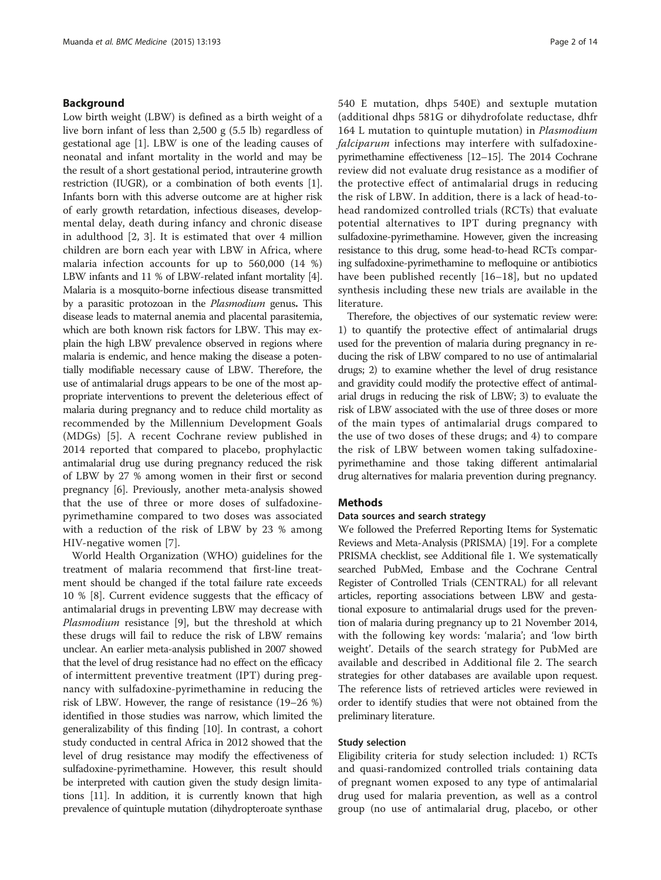# Background

Low birth weight (LBW) is defined as a birth weight of a live born infant of less than 2,500 g (5.5 lb) regardless of gestational age [\[1](#page-11-0)]. LBW is one of the leading causes of neonatal and infant mortality in the world and may be the result of a short gestational period, intrauterine growth restriction (IUGR), or a combination of both events [[1](#page-11-0)]. Infants born with this adverse outcome are at higher risk of early growth retardation, infectious diseases, developmental delay, death during infancy and chronic disease in adulthood [\[2](#page-11-0), [3\]](#page-11-0). It is estimated that over 4 million children are born each year with LBW in Africa, where malaria infection accounts for up to 560,000 (14 %) LBW infants and 11 % of LBW-related infant mortality [[4](#page-11-0)]. Malaria is a mosquito-borne infectious disease transmitted by a parasitic protozoan in the Plasmodium genus. This disease leads to maternal anemia and placental parasitemia, which are both known risk factors for LBW. This may explain the high LBW prevalence observed in regions where malaria is endemic, and hence making the disease a potentially modifiable necessary cause of LBW. Therefore, the use of antimalarial drugs appears to be one of the most appropriate interventions to prevent the deleterious effect of malaria during pregnancy and to reduce child mortality as recommended by the Millennium Development Goals (MDGs) [\[5](#page-11-0)]. A recent Cochrane review published in 2014 reported that compared to placebo, prophylactic antimalarial drug use during pregnancy reduced the risk of LBW by 27 % among women in their first or second pregnancy [\[6](#page-11-0)]. Previously, another meta-analysis showed that the use of three or more doses of sulfadoxinepyrimethamine compared to two doses was associated with a reduction of the risk of LBW by 23 % among HIV-negative women [[7\]](#page-11-0).

World Health Organization (WHO) guidelines for the treatment of malaria recommend that first-line treatment should be changed if the total failure rate exceeds 10 % [\[8](#page-11-0)]. Current evidence suggests that the efficacy of antimalarial drugs in preventing LBW may decrease with Plasmodium resistance [\[9](#page-11-0)], but the threshold at which these drugs will fail to reduce the risk of LBW remains unclear. An earlier meta-analysis published in 2007 showed that the level of drug resistance had no effect on the efficacy of intermittent preventive treatment (IPT) during pregnancy with sulfadoxine-pyrimethamine in reducing the risk of LBW. However, the range of resistance (19–26 %) identified in those studies was narrow, which limited the generalizability of this finding [[10\]](#page-11-0). In contrast, a cohort study conducted in central Africa in 2012 showed that the level of drug resistance may modify the effectiveness of sulfadoxine-pyrimethamine. However, this result should be interpreted with caution given the study design limitations [\[11\]](#page-11-0). In addition, it is currently known that high prevalence of quintuple mutation (dihydropteroate synthase

540 E mutation, dhps 540E) and sextuple mutation (additional dhps 581G or dihydrofolate reductase, dhfr 164 L mutation to quintuple mutation) in Plasmodium falciparum infections may interfere with sulfadoxinepyrimethamine effectiveness [\[12](#page-11-0)–[15\]](#page-12-0). The 2014 Cochrane review did not evaluate drug resistance as a modifier of the protective effect of antimalarial drugs in reducing the risk of LBW. In addition, there is a lack of head-tohead randomized controlled trials (RCTs) that evaluate potential alternatives to IPT during pregnancy with sulfadoxine-pyrimethamine. However, given the increasing resistance to this drug, some head-to-head RCTs comparing sulfadoxine-pyrimethamine to mefloquine or antibiotics have been published recently [[16](#page-12-0)–[18\]](#page-12-0), but no updated synthesis including these new trials are available in the literature.

Therefore, the objectives of our systematic review were: 1) to quantify the protective effect of antimalarial drugs used for the prevention of malaria during pregnancy in reducing the risk of LBW compared to no use of antimalarial drugs; 2) to examine whether the level of drug resistance and gravidity could modify the protective effect of antimalarial drugs in reducing the risk of LBW; 3) to evaluate the risk of LBW associated with the use of three doses or more of the main types of antimalarial drugs compared to the use of two doses of these drugs; and 4) to compare the risk of LBW between women taking sulfadoxinepyrimethamine and those taking different antimalarial drug alternatives for malaria prevention during pregnancy.

# **Methods**

# Data sources and search strategy

We followed the Preferred Reporting Items for Systematic Reviews and Meta-Analysis (PRISMA) [\[19](#page-12-0)]. For a complete PRISMA checklist, see Additional file [1](#page-11-0). We systematically searched PubMed, Embase and the Cochrane Central Register of Controlled Trials (CENTRAL) for all relevant articles, reporting associations between LBW and gestational exposure to antimalarial drugs used for the prevention of malaria during pregnancy up to 21 November 2014, with the following key words: 'malaria'; and 'low birth weight'. Details of the search strategy for PubMed are available and described in Additional file [2](#page-11-0). The search strategies for other databases are available upon request. The reference lists of retrieved articles were reviewed in order to identify studies that were not obtained from the preliminary literature.

# Study selection

Eligibility criteria for study selection included: 1) RCTs and quasi-randomized controlled trials containing data of pregnant women exposed to any type of antimalarial drug used for malaria prevention, as well as a control group (no use of antimalarial drug, placebo, or other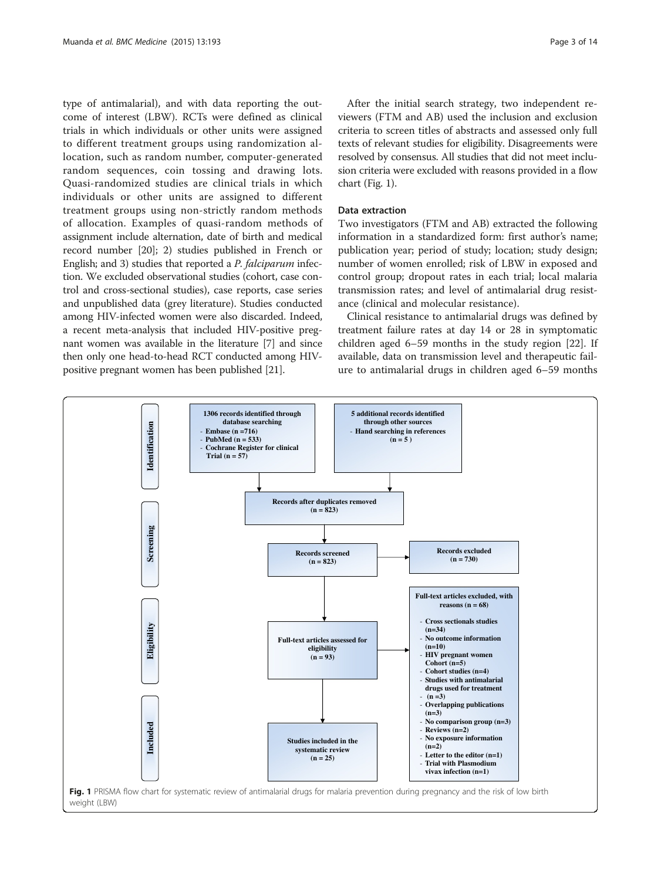<span id="page-2-0"></span>type of antimalarial), and with data reporting the outcome of interest (LBW). RCTs were defined as clinical trials in which individuals or other units were assigned to different treatment groups using randomization allocation, such as random number, computer-generated random sequences, coin tossing and drawing lots. Quasi-randomized studies are clinical trials in which individuals or other units are assigned to different treatment groups using non-strictly random methods of allocation. Examples of quasi-random methods of assignment include alternation, date of birth and medical record number [\[20\]](#page-12-0); 2) studies published in French or English; and 3) studies that reported a P. falciparum infection. We excluded observational studies (cohort, case control and cross-sectional studies), case reports, case series and unpublished data (grey literature). Studies conducted among HIV-infected women were also discarded. Indeed, a recent meta-analysis that included HIV-positive pregnant women was available in the literature [\[7\]](#page-11-0) and since then only one head-to-head RCT conducted among HIVpositive pregnant women has been published [\[21\]](#page-12-0).

After the initial search strategy, two independent reviewers (FTM and AB) used the inclusion and exclusion criteria to screen titles of abstracts and assessed only full texts of relevant studies for eligibility. Disagreements were resolved by consensus. All studies that did not meet inclusion criteria were excluded with reasons provided in a flow chart (Fig. 1).

### Data extraction

Two investigators (FTM and AB) extracted the following information in a standardized form: first author's name; publication year; period of study; location; study design; number of women enrolled; risk of LBW in exposed and control group; dropout rates in each trial; local malaria transmission rates; and level of antimalarial drug resistance (clinical and molecular resistance).

Clinical resistance to antimalarial drugs was defined by treatment failure rates at day 14 or 28 in symptomatic children aged 6–59 months in the study region [\[22](#page-12-0)]. If available, data on transmission level and therapeutic failure to antimalarial drugs in children aged 6–59 months

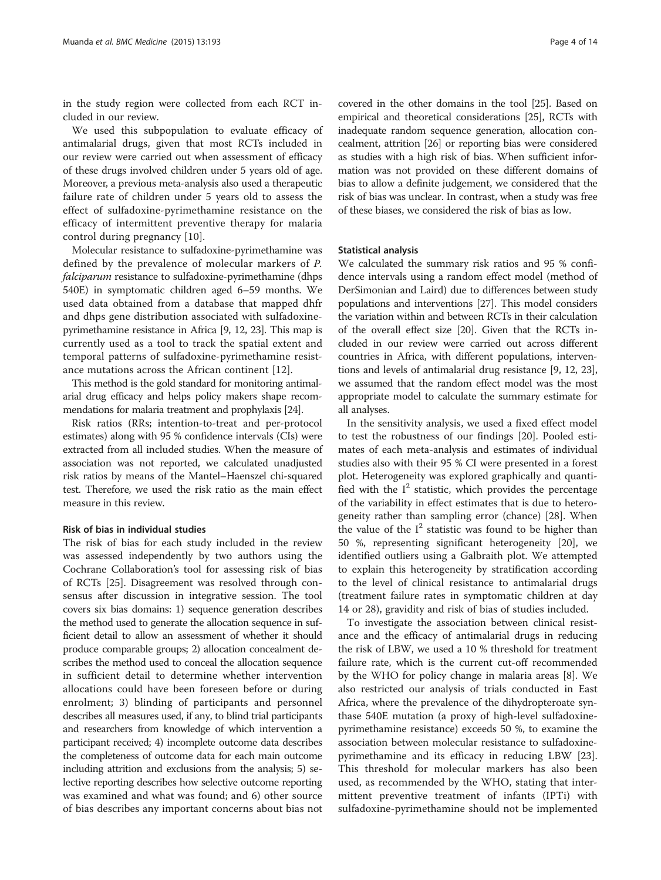in the study region were collected from each RCT included in our review.

We used this subpopulation to evaluate efficacy of antimalarial drugs, given that most RCTs included in our review were carried out when assessment of efficacy of these drugs involved children under 5 years old of age. Moreover, a previous meta-analysis also used a therapeutic failure rate of children under 5 years old to assess the effect of sulfadoxine-pyrimethamine resistance on the efficacy of intermittent preventive therapy for malaria control during pregnancy [\[10](#page-11-0)].

Molecular resistance to sulfadoxine-pyrimethamine was defined by the prevalence of molecular markers of P. falciparum resistance to sulfadoxine-pyrimethamine (dhps 540E) in symptomatic children aged 6–59 months. We used data obtained from a database that mapped dhfr and dhps gene distribution associated with sulfadoxinepyrimethamine resistance in Africa [\[9](#page-11-0), [12,](#page-11-0) [23](#page-12-0)]. This map is currently used as a tool to track the spatial extent and temporal patterns of sulfadoxine-pyrimethamine resistance mutations across the African continent [\[12\]](#page-11-0).

This method is the gold standard for monitoring antimalarial drug efficacy and helps policy makers shape recommendations for malaria treatment and prophylaxis [\[24](#page-12-0)].

Risk ratios (RRs; intention-to-treat and per-protocol estimates) along with 95 % confidence intervals (CIs) were extracted from all included studies. When the measure of association was not reported, we calculated unadjusted risk ratios by means of the Mantel–Haenszel chi-squared test. Therefore, we used the risk ratio as the main effect measure in this review.

# Risk of bias in individual studies

The risk of bias for each study included in the review was assessed independently by two authors using the Cochrane Collaboration's tool for assessing risk of bias of RCTs [[25](#page-12-0)]. Disagreement was resolved through consensus after discussion in integrative session. The tool covers six bias domains: 1) sequence generation describes the method used to generate the allocation sequence in sufficient detail to allow an assessment of whether it should produce comparable groups; 2) allocation concealment describes the method used to conceal the allocation sequence in sufficient detail to determine whether intervention allocations could have been foreseen before or during enrolment; 3) blinding of participants and personnel describes all measures used, if any, to blind trial participants and researchers from knowledge of which intervention a participant received; 4) incomplete outcome data describes the completeness of outcome data for each main outcome including attrition and exclusions from the analysis; 5) selective reporting describes how selective outcome reporting was examined and what was found; and 6) other source of bias describes any important concerns about bias not

covered in the other domains in the tool [\[25\]](#page-12-0). Based on empirical and theoretical considerations [[25\]](#page-12-0), RCTs with inadequate random sequence generation, allocation concealment, attrition [\[26\]](#page-12-0) or reporting bias were considered as studies with a high risk of bias. When sufficient information was not provided on these different domains of bias to allow a definite judgement, we considered that the risk of bias was unclear. In contrast, when a study was free of these biases, we considered the risk of bias as low.

### Statistical analysis

We calculated the summary risk ratios and 95 % confidence intervals using a random effect model (method of DerSimonian and Laird) due to differences between study populations and interventions [[27](#page-12-0)]. This model considers the variation within and between RCTs in their calculation of the overall effect size [[20](#page-12-0)]. Given that the RCTs included in our review were carried out across different countries in Africa, with different populations, interventions and levels of antimalarial drug resistance [[9, 12](#page-11-0), [23](#page-12-0)], we assumed that the random effect model was the most appropriate model to calculate the summary estimate for all analyses.

In the sensitivity analysis, we used a fixed effect model to test the robustness of our findings [[20\]](#page-12-0). Pooled estimates of each meta-analysis and estimates of individual studies also with their 95 % CI were presented in a forest plot. Heterogeneity was explored graphically and quantified with the  $I^2$  statistic, which provides the percentage of the variability in effect estimates that is due to heterogeneity rather than sampling error (chance) [[28](#page-12-0)]. When the value of the  $I^2$  statistic was found to be higher than 50 %, representing significant heterogeneity [[20\]](#page-12-0), we identified outliers using a Galbraith plot. We attempted to explain this heterogeneity by stratification according to the level of clinical resistance to antimalarial drugs (treatment failure rates in symptomatic children at day 14 or 28), gravidity and risk of bias of studies included.

To investigate the association between clinical resistance and the efficacy of antimalarial drugs in reducing the risk of LBW, we used a 10 % threshold for treatment failure rate, which is the current cut-off recommended by the WHO for policy change in malaria areas [[8](#page-11-0)]. We also restricted our analysis of trials conducted in East Africa, where the prevalence of the dihydropteroate synthase 540E mutation (a proxy of high-level sulfadoxinepyrimethamine resistance) exceeds 50 %, to examine the association between molecular resistance to sulfadoxinepyrimethamine and its efficacy in reducing LBW [\[23](#page-12-0)]. This threshold for molecular markers has also been used, as recommended by the WHO, stating that intermittent preventive treatment of infants (IPTi) with sulfadoxine-pyrimethamine should not be implemented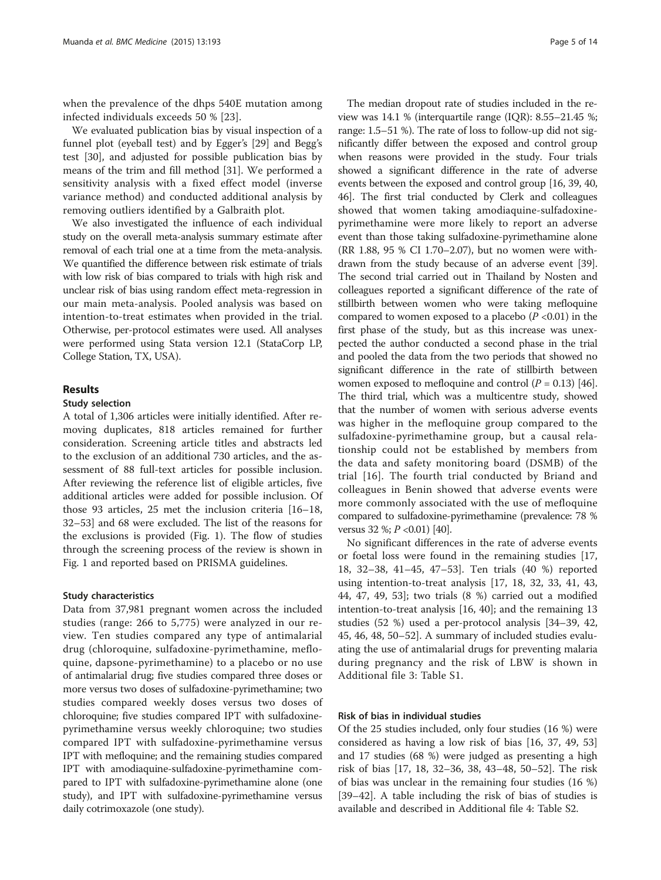when the prevalence of the dhps 540E mutation among infected individuals exceeds 50 % [[23](#page-12-0)].

We evaluated publication bias by visual inspection of a funnel plot (eyeball test) and by Egger's [[29\]](#page-12-0) and Begg's test [[30\]](#page-12-0), and adjusted for possible publication bias by means of the trim and fill method [\[31\]](#page-12-0). We performed a sensitivity analysis with a fixed effect model (inverse variance method) and conducted additional analysis by removing outliers identified by a Galbraith plot.

We also investigated the influence of each individual study on the overall meta-analysis summary estimate after removal of each trial one at a time from the meta-analysis. We quantified the difference between risk estimate of trials with low risk of bias compared to trials with high risk and unclear risk of bias using random effect meta-regression in our main meta-analysis. Pooled analysis was based on intention-to-treat estimates when provided in the trial. Otherwise, per-protocol estimates were used. All analyses were performed using Stata version 12.1 (StataCorp LP, College Station, TX, USA).

# Results

# Study selection

A total of 1,306 articles were initially identified. After removing duplicates, 818 articles remained for further consideration. Screening article titles and abstracts led to the exclusion of an additional 730 articles, and the assessment of 88 full-text articles for possible inclusion. After reviewing the reference list of eligible articles, five additional articles were added for possible inclusion. Of those 93 articles, 25 met the inclusion criteria [[16](#page-12-0)–[18](#page-12-0), [32](#page-12-0)–[53](#page-12-0)] and 68 were excluded. The list of the reasons for the exclusions is provided (Fig. [1](#page-2-0)). The flow of studies through the screening process of the review is shown in Fig. [1](#page-2-0) and reported based on PRISMA guidelines.

# Study characteristics

Data from 37,981 pregnant women across the included studies (range: 266 to 5,775) were analyzed in our review. Ten studies compared any type of antimalarial drug (chloroquine, sulfadoxine-pyrimethamine, mefloquine, dapsone-pyrimethamine) to a placebo or no use of antimalarial drug; five studies compared three doses or more versus two doses of sulfadoxine-pyrimethamine; two studies compared weekly doses versus two doses of chloroquine; five studies compared IPT with sulfadoxinepyrimethamine versus weekly chloroquine; two studies compared IPT with sulfadoxine-pyrimethamine versus IPT with mefloquine; and the remaining studies compared IPT with amodiaquine-sulfadoxine-pyrimethamine compared to IPT with sulfadoxine-pyrimethamine alone (one study), and IPT with sulfadoxine-pyrimethamine versus daily cotrimoxazole (one study).

The median dropout rate of studies included in the review was 14.1 % (interquartile range (IQR): 8.55–21.45 %; range: 1.5–51 %). The rate of loss to follow-up did not significantly differ between the exposed and control group when reasons were provided in the study. Four trials showed a significant difference in the rate of adverse events between the exposed and control group [[16](#page-12-0), [39, 40](#page-12-0), [46](#page-12-0)]. The first trial conducted by Clerk and colleagues showed that women taking amodiaquine-sulfadoxinepyrimethamine were more likely to report an adverse event than those taking sulfadoxine-pyrimethamine alone (RR 1.88, 95 % CI 1.70–2.07), but no women were withdrawn from the study because of an adverse event [[39](#page-12-0)]. The second trial carried out in Thailand by Nosten and colleagues reported a significant difference of the rate of stillbirth between women who were taking mefloquine compared to women exposed to a placebo  $(P < 0.01)$  in the first phase of the study, but as this increase was unexpected the author conducted a second phase in the trial and pooled the data from the two periods that showed no significant difference in the rate of stillbirth between women exposed to mefloquine and control  $(P = 0.13)$  [[46](#page-12-0)]. The third trial, which was a multicentre study, showed that the number of women with serious adverse events was higher in the mefloquine group compared to the sulfadoxine-pyrimethamine group, but a causal relationship could not be established by members from the data and safety monitoring board (DSMB) of the trial [\[16](#page-12-0)]. The fourth trial conducted by Briand and colleagues in Benin showed that adverse events were more commonly associated with the use of mefloquine compared to sulfadoxine-pyrimethamine (prevalence: 78 % versus 32 %;  $P < 0.01$  [\[40](#page-12-0)].

No significant differences in the rate of adverse events or foetal loss were found in the remaining studies [[17](#page-12-0), [18, 32](#page-12-0)–[38](#page-12-0), [41](#page-12-0)–[45](#page-12-0), [47](#page-12-0)–[53](#page-12-0)]. Ten trials (40 %) reported using intention-to-treat analysis [\[17](#page-12-0), [18](#page-12-0), [32, 33, 41](#page-12-0), [43](#page-12-0), [44, 47, 49](#page-12-0), [53](#page-12-0)]; two trials (8 %) carried out a modified intention-to-treat analysis [[16, 40\]](#page-12-0); and the remaining 13 studies (52 %) used a per-protocol analysis [[34](#page-12-0)–[39](#page-12-0), [42](#page-12-0), [45, 46](#page-12-0), [48](#page-12-0), [50](#page-12-0)–[52\]](#page-12-0). A summary of included studies evaluating the use of antimalarial drugs for preventing malaria during pregnancy and the risk of LBW is shown in Additional file [3:](#page-11-0) Table S1.

# Risk of bias in individual studies

Of the 25 studies included, only four studies (16 %) were considered as having a low risk of bias [[16](#page-12-0), [37](#page-12-0), [49](#page-12-0), [53](#page-12-0)] and 17 studies (68 %) were judged as presenting a high risk of bias [[17](#page-12-0), [18](#page-12-0), [32](#page-12-0)–[36, 38](#page-12-0), [43](#page-12-0)–[48](#page-12-0), [50](#page-12-0)–[52\]](#page-12-0). The risk of bias was unclear in the remaining four studies (16 %) [[39](#page-12-0)–[42](#page-12-0)]. A table including the risk of bias of studies is available and described in Additional file [4](#page-11-0): Table S2.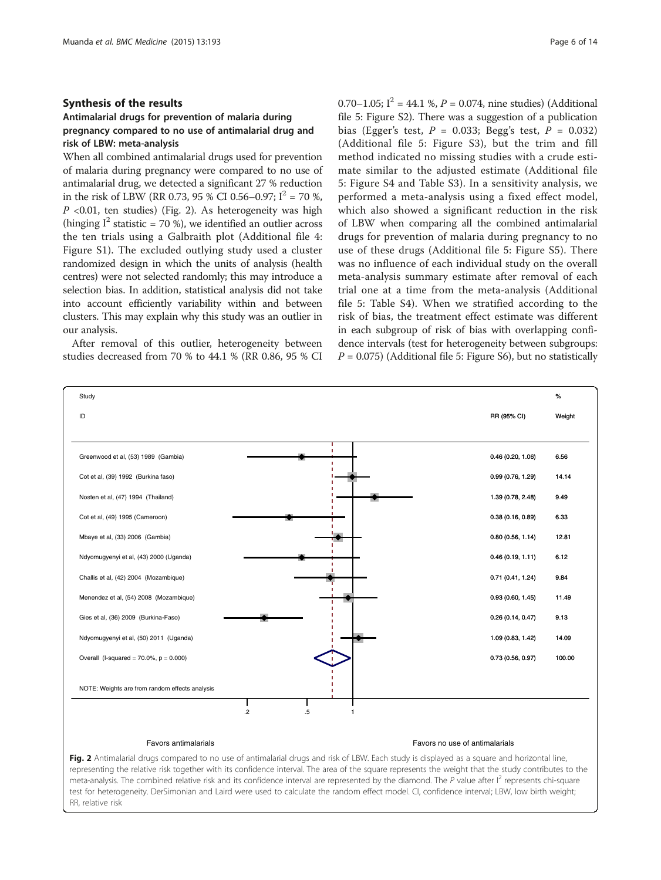# Synthesis of the results

# Antimalarial drugs for prevention of malaria during pregnancy compared to no use of antimalarial drug and risk of LBW: meta-analysis

When all combined antimalarial drugs used for prevention of malaria during pregnancy were compared to no use of antimalarial drug, we detected a significant 27 % reduction in the risk of LBW (RR 0.73, 95 % CI 0.56–0.97;  $I^2 = 70$  %,  $P$  <0.01, ten studies) (Fig. 2). As heterogeneity was high (hinging  $I^2$  statistic = 70 %), we identified an outlier across the ten trials using a Galbraith plot (Additional file [4](#page-11-0): Figure S1). The excluded outlying study used a cluster randomized design in which the units of analysis (health centres) were not selected randomly; this may introduce a selection bias. In addition, statistical analysis did not take into account efficiently variability within and between clusters. This may explain why this study was an outlier in our analysis.

After removal of this outlier, heterogeneity between studies decreased from 70 % to 44.1 % (RR 0.86, 95 % CI 0.70–1.05;  $I^2 = 44.1$  %,  $P = 0.074$ , nine studies) (Additional file [5:](#page-11-0) Figure S2). There was a suggestion of a publication bias (Egger's test,  $P = 0.033$ ; Begg's test,  $P = 0.032$ ) (Additional file [5](#page-11-0): Figure S3), but the trim and fill method indicated no missing studies with a crude estimate similar to the adjusted estimate (Additional file [5:](#page-11-0) Figure S4 and Table S3). In a sensitivity analysis, we performed a meta-analysis using a fixed effect model, which also showed a significant reduction in the risk of LBW when comparing all the combined antimalarial drugs for prevention of malaria during pregnancy to no use of these drugs (Additional file [5:](#page-11-0) Figure S5). There was no influence of each individual study on the overall meta-analysis summary estimate after removal of each trial one at a time from the meta-analysis (Additional file [5:](#page-11-0) Table S4). When we stratified according to the risk of bias, the treatment effect estimate was different in each subgroup of risk of bias with overlapping confidence intervals (test for heterogeneity between subgroups:  $P = 0.075$ ) (Additional file [5:](#page-11-0) Figure S6), but no statistically



#### Favors antimalarials Favors no use of antimalarials

Fig. 2 Antimalarial drugs compared to no use of antimalarial drugs and risk of LBW. Each study is displayed as a square and horizontal line, representing the relative risk together with its confidence interval. The area of the square represents the weight that the study contributes to the meta-analysis. The combined relative risk and its confidence interval are represented by the diamond. The P value after  $I^2$  represents chi-square test for heterogeneity. DerSimonian and Laird were used to calculate the random effect model. CI, confidence interval; LBW, low birth weight; RR, relative risk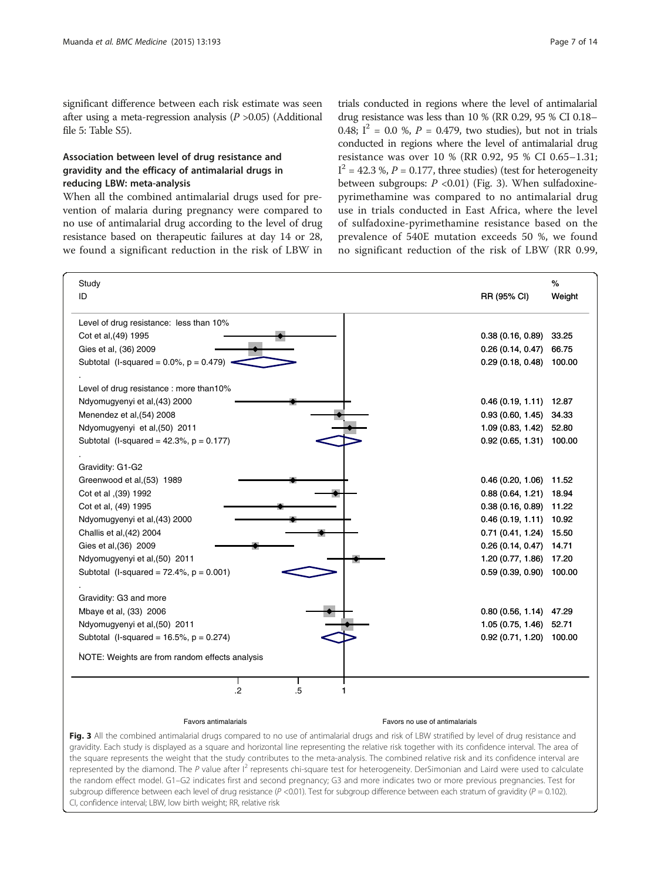<span id="page-6-0"></span>significant difference between each risk estimate was seen after using a meta-regression analysis  $(P > 0.05)$  (Additional file [5:](#page-11-0) Table S5).

# Association between level of drug resistance and gravidity and the efficacy of antimalarial drugs in reducing LBW: meta-analysis

When all the combined antimalarial drugs used for prevention of malaria during pregnancy were compared to no use of antimalarial drug according to the level of drug resistance based on therapeutic failures at day 14 or 28, we found a significant reduction in the risk of LBW in

trials conducted in regions where the level of antimalarial drug resistance was less than 10 % (RR 0.29, 95 % CI 0.18– 0.48;  $I^2 = 0.0$  %,  $P = 0.479$ , two studies), but not in trials conducted in regions where the level of antimalarial drug resistance was over 10 % (RR 0.92, 95 % CI 0.65–1.31;  $I^2$  = 42.3 %,  $P$  = 0.177, three studies) (test for heterogeneity between subgroups:  $P < 0.01$ ) (Fig. 3). When sulfadoxinepyrimethamine was compared to no antimalarial drug use in trials conducted in East Africa, where the level of sulfadoxine-pyrimethamine resistance based on the prevalence of 540E mutation exceeds 50 %, we found no significant reduction of the risk of LBW (RR 0.99,

| Study<br>ID                                    | RR (95% CI)                    | %<br>Weight |
|------------------------------------------------|--------------------------------|-------------|
| Level of drug resistance: less than 10%        |                                |             |
| Cot et al, (49) 1995                           | 0.38(0.16, 0.89)               | 33.25       |
| Gies et al, (36) 2009                          | 0.26(0.14, 0.47)               | 66.75       |
| Subtotal (I-squared = $0.0\%$ , $p = 0.479$ )  | 0.29(0.18, 0.48)               | 100.00      |
| Level of drug resistance : more than10%        |                                |             |
| Ndyomugyenyi et al, (43) 2000                  | 0.46(0.19, 1.11)               | 12.87       |
| Menendez et al, (54) 2008                      | 0.93(0.60, 1.45)               | 34.33       |
| Ndyomugyenyi et al, (50) 2011                  | 1.09 (0.83, 1.42)              | 52.80       |
| Subtotal (I-squared = $42.3\%$ , p = 0.177)    | 0.92(0.65, 1.31)               | 100.00      |
| Gravidity: G1-G2                               |                                |             |
| Greenwood et al, (53) 1989                     | 0.46(0.20, 1.06)               | 11.52       |
| Cot et al , (39) 1992                          | 0.88(0.64, 1.21)               | 18.94       |
| Cot et al, (49) 1995                           | 0.38(0.16, 0.89)               | 11.22       |
| Ndyomugyenyi et al, (43) 2000                  | 0.46(0.19, 1.11)               | 10.92       |
| Challis et al, (42) 2004                       | 0.71 (0.41, 1.24) 15.50        |             |
| Gies et al, (36) 2009                          | 0.26(0.14, 0.47)               | 14.71       |
| Ndyomugyenyi et al, (50) 2011                  | 1.20(0.77, 1.86)               | 17.20       |
| Subtotal (I-squared = $72.4\%$ , $p = 0.001$ ) | 0.59(0.39, 0.90)               | 100.00      |
| Gravidity: G3 and more                         |                                |             |
| Mbaye et al, (33) 2006                         | 0.80(0.56, 1.14)               | 47.29       |
| Ndyomugyenyi et al, (50) 2011                  | 1.05(0.75, 1.46)               | 52.71       |
| Subtotal (I-squared = $16.5\%$ , $p = 0.274$ ) | 0.92(0.71, 1.20)               | 100.00      |
| NOTE: Weights are from random effects analysis |                                |             |
| $.5\,$<br>$\overline{2}$<br>1                  |                                |             |
| <b>Favors antimalarials</b>                    | Favors no use of antimalarials |             |

Fig. 3 All the combined antimalarial drugs compared to no use of antimalarial drugs and risk of LBW stratified by level of drug resistance and gravidity. Each study is displayed as a square and horizontal line representing the relative risk together with its confidence interval. The area of the square represents the weight that the study contributes to the meta-analysis. The combined relative risk and its confidence interval are represented by the diamond. The P value after  $I^2$  represents chi-square test for heterogeneity. DerSimonian and Laird were used to calculate the random effect model. G1–G2 indicates first and second pregnancy; G3 and more indicates two or more previous pregnancies. Test for subgroup difference between each level of drug resistance ( $P < 0.01$ ). Test for subgroup difference between each stratum of gravidity ( $P = 0.102$ ). CI, confidence interval; LBW, low birth weight; RR, relative risk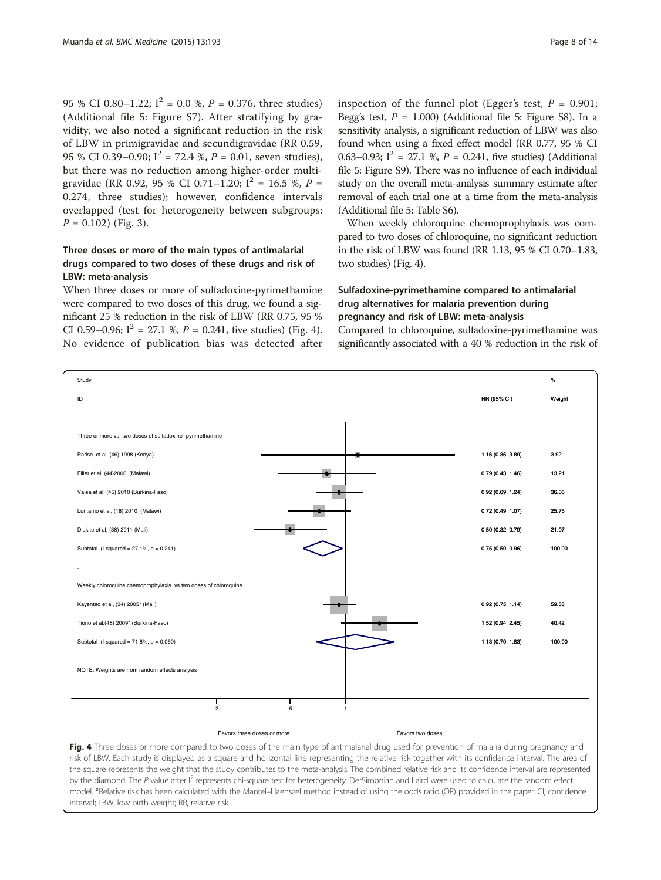95 % CI 0.80–1.22;  $I^2 = 0.0$  %,  $P = 0.376$ , three studies) (Additional file [5:](#page-11-0) Figure S7). After stratifying by gravidity, we also noted a significant reduction in the risk of LBW in primigravidae and secundigravidae (RR 0.59, 95 % CI 0.39–0.90;  $I^2 = 72.4$  %,  $P = 0.01$ , seven studies), but there was no reduction among higher-order multigravidae (RR 0.92, 95 % CI 0.71–1.20;  $I^2 = 16.5$  %,  $P =$ 0.274, three studies); however, confidence intervals overlapped (test for heterogeneity between subgroups:  $P = 0.102$ ) (Fig. [3\)](#page-6-0).

# Three doses or more of the main types of antimalarial drugs compared to two doses of these drugs and risk of LBW: meta-analysis

When three doses or more of sulfadoxine-pyrimethamine were compared to two doses of this drug, we found a significant 25 % reduction in the risk of LBW (RR 0.75, 95 % CI 0.59–0.96;  $I^2 = 27.1$  %,  $P = 0.241$ , five studies) (Fig. 4). No evidence of publication bias was detected after

inspection of the funnel plot (Egger's test,  $P = 0.901$ ; Begg's test,  $P = 1.000$ ) (Additional file [5](#page-11-0): Figure S8). In a sensitivity analysis, a significant reduction of LBW was also found when using a fixed effect model (RR 0.77, 95 % CI 0.63–0.93;  $I^2 = 27.1$  %,  $P = 0.241$ , five studies) (Additional file [5:](#page-11-0) Figure S9). There was no influence of each individual study on the overall meta-analysis summary estimate after removal of each trial one at a time from the meta-analysis (Additional file [5:](#page-11-0) Table S6).

When weekly chloroquine chemoprophylaxis was compared to two doses of chloroquine, no significant reduction in the risk of LBW was found (RR 1.13, 95 % CI 0.70–1.83, two studies) (Fig. 4).

# Sulfadoxine-pyrimethamine compared to antimalarial drug alternatives for malaria prevention during pregnancy and risk of LBW: meta-analysis

Compared to chloroquine, sulfadoxine-pyrimethamine was significantly associated with a 40 % reduction in the risk of



by the diamond. The P value after  $I^2$  represents chi-square test for heterogeneity. DerSimonian and Laird were used to calculate the random effect model. \*Relative risk has been calculated with the Mantel–Haenszel method instead of using the odds ratio (OR) provided in the paper. CI, confidence interval; LBW, low birth weight; RR, relative risk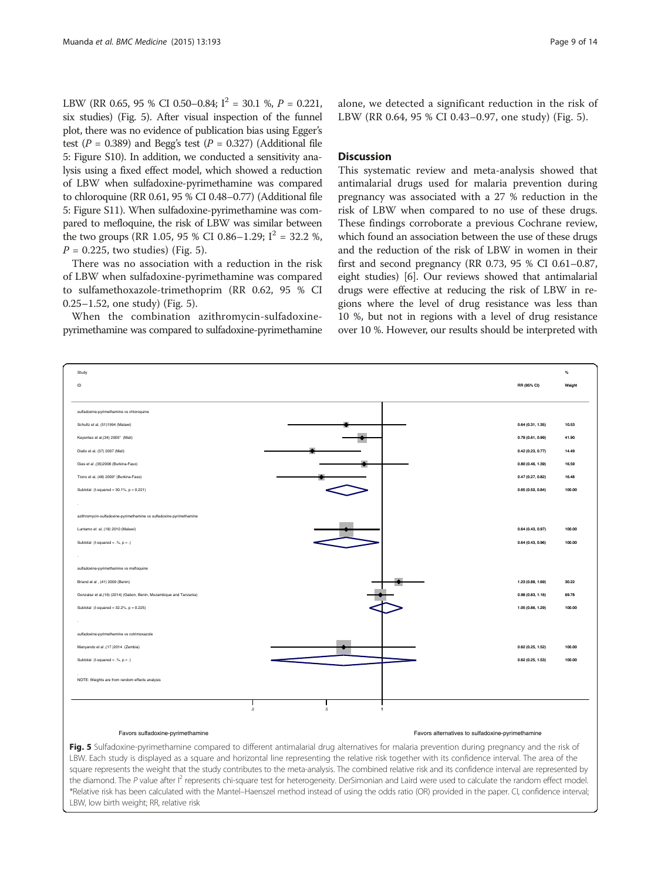LBW (RR 0.65, 95 % CI 0.50–0.84;  $I^2 = 30.1$  %,  $P = 0.221$ , six studies) (Fig. 5). After visual inspection of the funnel plot, there was no evidence of publication bias using Egger's test ( $P = 0.389$ ) and Begg's test ( $P = 0.327$ ) (Additional file [5](#page-11-0): Figure S10). In addition, we conducted a sensitivity analysis using a fixed effect model, which showed a reduction of LBW when sulfadoxine-pyrimethamine was compared to chloroquine (RR 0.61, 95 % CI 0.48–0.77) (Additional file [5](#page-11-0): Figure S11). When sulfadoxine-pyrimethamine was compared to mefloquine, the risk of LBW was similar between the two groups (RR 1.05, 95 % CI 0.86–1.29;  $I^2 = 32.2$  %,  $P = 0.225$ , two studies) (Fig. 5).

There was no association with a reduction in the risk of LBW when sulfadoxine-pyrimethamine was compared to sulfamethoxazole-trimethoprim (RR 0.62, 95 % CI 0.25–1.52, one study) (Fig. 5).

When the combination azithromycin-sulfadoxinepyrimethamine was compared to sulfadoxine-pyrimethamine

alone, we detected a significant reduction in the risk of LBW (RR 0.64, 95 % CI 0.43–0.97, one study) (Fig. 5).

# Discussion

This systematic review and meta-analysis showed that antimalarial drugs used for malaria prevention during pregnancy was associated with a 27 % reduction in the risk of LBW when compared to no use of these drugs. These findings corroborate a previous Cochrane review, which found an association between the use of these drugs and the reduction of the risk of LBW in women in their first and second pregnancy (RR 0.73, 95 % CI 0.61–0.87, eight studies) [\[6](#page-11-0)]. Our reviews showed that antimalarial drugs were effective at reducing the risk of LBW in regions where the level of drug resistance was less than 10 %, but not in regions with a level of drug resistance over 10 %. However, our results should be interpreted with



Fig. 5 Sulfadoxine-pyrimethamine compared to different antimalarial drug alternatives for malaria prevention during pregnancy and the risk of LBW. Each study is displayed as a square and horizontal line representing the relative risk together with its confidence interval. The area of the square represents the weight that the study contributes to the meta-analysis. The combined relative risk and its confidence interval are represented by the diamond. The P value after  $I^2$  represents chi-square test for heterogeneity. DerSimonian and Laird were used to calculate the random effect model. \*Relative risk has been calculated with the Mantel–Haenszel method instead of using the odds ratio (OR) provided in the paper. CI, confidence interval; LBW, low birth weight; RR, relative risk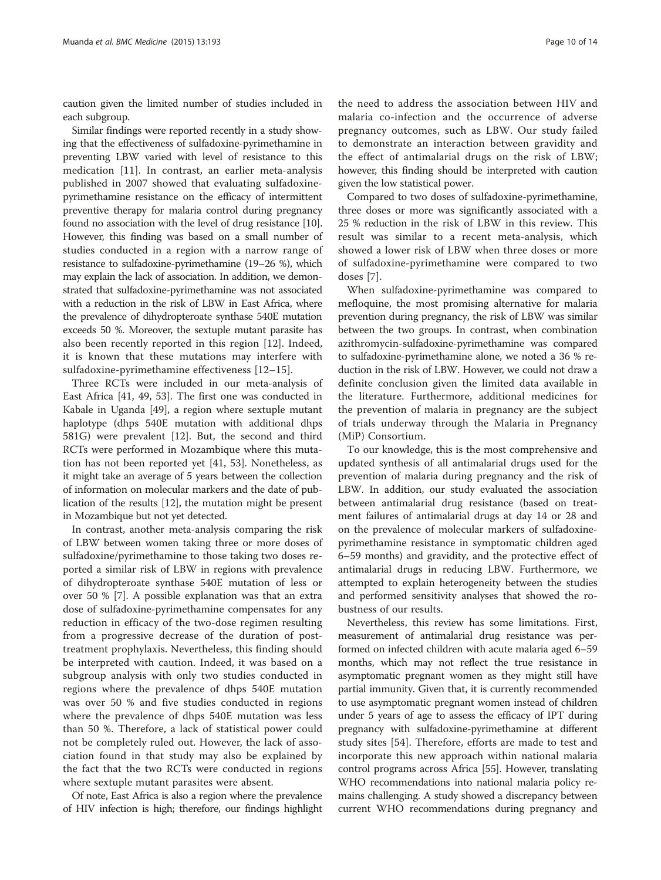caution given the limited number of studies included in each subgroup.

Similar findings were reported recently in a study showing that the effectiveness of sulfadoxine-pyrimethamine in preventing LBW varied with level of resistance to this medication [[11](#page-11-0)]. In contrast, an earlier meta-analysis published in 2007 showed that evaluating sulfadoxinepyrimethamine resistance on the efficacy of intermittent preventive therapy for malaria control during pregnancy found no association with the level of drug resistance [[10](#page-11-0)]. However, this finding was based on a small number of studies conducted in a region with a narrow range of resistance to sulfadoxine-pyrimethamine (19–26 %), which may explain the lack of association. In addition, we demonstrated that sulfadoxine-pyrimethamine was not associated with a reduction in the risk of LBW in East Africa, where the prevalence of dihydropteroate synthase 540E mutation exceeds 50 %. Moreover, the sextuple mutant parasite has also been recently reported in this region [[12\]](#page-11-0). Indeed, it is known that these mutations may interfere with sulfadoxine-pyrimethamine effectiveness [[12](#page-11-0)–[15\]](#page-12-0).

Three RCTs were included in our meta-analysis of East Africa [\[41, 49, 53](#page-12-0)]. The first one was conducted in Kabale in Uganda [[49\]](#page-12-0), a region where sextuple mutant haplotype (dhps 540E mutation with additional dhps 581G) were prevalent [\[12](#page-11-0)]. But, the second and third RCTs were performed in Mozambique where this mutation has not been reported yet [[41, 53](#page-12-0)]. Nonetheless, as it might take an average of 5 years between the collection of information on molecular markers and the date of publication of the results [\[12](#page-11-0)], the mutation might be present in Mozambique but not yet detected.

In contrast, another meta-analysis comparing the risk of LBW between women taking three or more doses of sulfadoxine/pyrimethamine to those taking two doses reported a similar risk of LBW in regions with prevalence of dihydropteroate synthase 540E mutation of less or over 50 % [[7](#page-11-0)]. A possible explanation was that an extra dose of sulfadoxine-pyrimethamine compensates for any reduction in efficacy of the two-dose regimen resulting from a progressive decrease of the duration of posttreatment prophylaxis. Nevertheless, this finding should be interpreted with caution. Indeed, it was based on a subgroup analysis with only two studies conducted in regions where the prevalence of dhps 540E mutation was over 50 % and five studies conducted in regions where the prevalence of dhps 540E mutation was less than 50 %. Therefore, a lack of statistical power could not be completely ruled out. However, the lack of association found in that study may also be explained by the fact that the two RCTs were conducted in regions where sextuple mutant parasites were absent.

Of note, East Africa is also a region where the prevalence of HIV infection is high; therefore, our findings highlight

the need to address the association between HIV and malaria co-infection and the occurrence of adverse pregnancy outcomes, such as LBW. Our study failed to demonstrate an interaction between gravidity and the effect of antimalarial drugs on the risk of LBW; however, this finding should be interpreted with caution given the low statistical power.

Compared to two doses of sulfadoxine-pyrimethamine, three doses or more was significantly associated with a 25 % reduction in the risk of LBW in this review. This result was similar to a recent meta-analysis, which showed a lower risk of LBW when three doses or more of sulfadoxine-pyrimethamine were compared to two doses [[7\]](#page-11-0).

When sulfadoxine-pyrimethamine was compared to mefloquine, the most promising alternative for malaria prevention during pregnancy, the risk of LBW was similar between the two groups. In contrast, when combination azithromycin-sulfadoxine-pyrimethamine was compared to sulfadoxine-pyrimethamine alone, we noted a 36 % reduction in the risk of LBW. However, we could not draw a definite conclusion given the limited data available in the literature. Furthermore, additional medicines for the prevention of malaria in pregnancy are the subject of trials underway through the Malaria in Pregnancy (MiP) Consortium.

To our knowledge, this is the most comprehensive and updated synthesis of all antimalarial drugs used for the prevention of malaria during pregnancy and the risk of LBW. In addition, our study evaluated the association between antimalarial drug resistance (based on treatment failures of antimalarial drugs at day 14 or 28 and on the prevalence of molecular markers of sulfadoxinepyrimethamine resistance in symptomatic children aged 6–59 months) and gravidity, and the protective effect of antimalarial drugs in reducing LBW. Furthermore, we attempted to explain heterogeneity between the studies and performed sensitivity analyses that showed the robustness of our results.

Nevertheless, this review has some limitations. First, measurement of antimalarial drug resistance was performed on infected children with acute malaria aged 6–59 months, which may not reflect the true resistance in asymptomatic pregnant women as they might still have partial immunity. Given that, it is currently recommended to use asymptomatic pregnant women instead of children under 5 years of age to assess the efficacy of IPT during pregnancy with sulfadoxine-pyrimethamine at different study sites [\[54](#page-12-0)]. Therefore, efforts are made to test and incorporate this new approach within national malaria control programs across Africa [\[55\]](#page-13-0). However, translating WHO recommendations into national malaria policy remains challenging. A study showed a discrepancy between current WHO recommendations during pregnancy and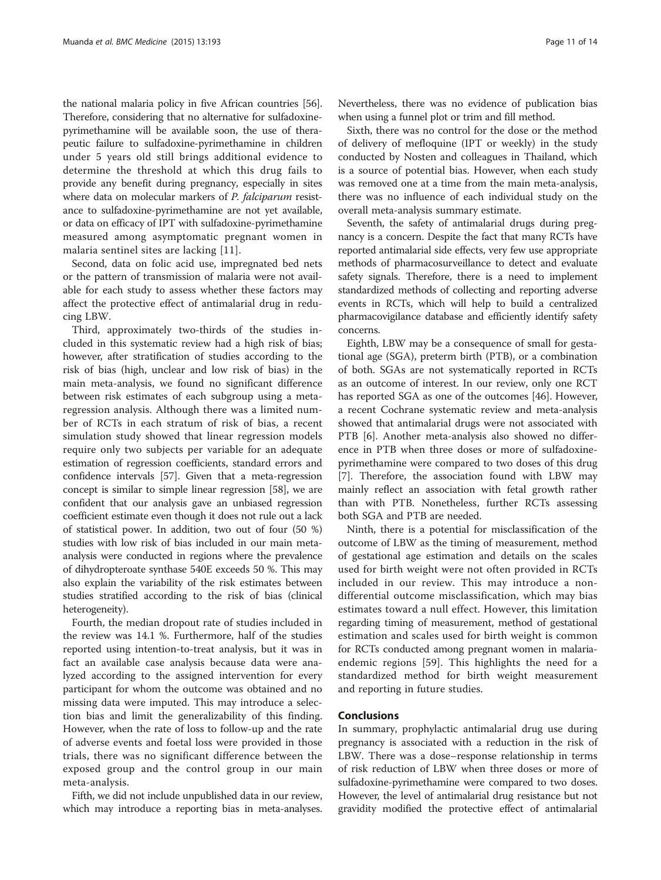the national malaria policy in five African countries [[56](#page-13-0)]. Therefore, considering that no alternative for sulfadoxinepyrimethamine will be available soon, the use of therapeutic failure to sulfadoxine-pyrimethamine in children under 5 years old still brings additional evidence to determine the threshold at which this drug fails to provide any benefit during pregnancy, especially in sites where data on molecular markers of *P. falciparum* resistance to sulfadoxine-pyrimethamine are not yet available, or data on efficacy of IPT with sulfadoxine-pyrimethamine measured among asymptomatic pregnant women in malaria sentinel sites are lacking [[11\]](#page-11-0).

Second, data on folic acid use, impregnated bed nets or the pattern of transmission of malaria were not available for each study to assess whether these factors may affect the protective effect of antimalarial drug in reducing LBW.

Third, approximately two-thirds of the studies included in this systematic review had a high risk of bias; however, after stratification of studies according to the risk of bias (high, unclear and low risk of bias) in the main meta-analysis, we found no significant difference between risk estimates of each subgroup using a metaregression analysis. Although there was a limited number of RCTs in each stratum of risk of bias, a recent simulation study showed that linear regression models require only two subjects per variable for an adequate estimation of regression coefficients, standard errors and confidence intervals [\[57\]](#page-13-0). Given that a meta-regression concept is similar to simple linear regression [[58](#page-13-0)], we are confident that our analysis gave an unbiased regression coefficient estimate even though it does not rule out a lack of statistical power. In addition, two out of four (50 %) studies with low risk of bias included in our main metaanalysis were conducted in regions where the prevalence of dihydropteroate synthase 540E exceeds 50 %. This may also explain the variability of the risk estimates between studies stratified according to the risk of bias (clinical heterogeneity).

Fourth, the median dropout rate of studies included in the review was 14.1 %. Furthermore, half of the studies reported using intention-to-treat analysis, but it was in fact an available case analysis because data were analyzed according to the assigned intervention for every participant for whom the outcome was obtained and no missing data were imputed. This may introduce a selection bias and limit the generalizability of this finding. However, when the rate of loss to follow-up and the rate of adverse events and foetal loss were provided in those trials, there was no significant difference between the exposed group and the control group in our main meta-analysis.

Fifth, we did not include unpublished data in our review, which may introduce a reporting bias in meta-analyses. Nevertheless, there was no evidence of publication bias when using a funnel plot or trim and fill method.

Sixth, there was no control for the dose or the method of delivery of mefloquine (IPT or weekly) in the study conducted by Nosten and colleagues in Thailand, which is a source of potential bias. However, when each study was removed one at a time from the main meta-analysis, there was no influence of each individual study on the overall meta-analysis summary estimate.

Seventh, the safety of antimalarial drugs during pregnancy is a concern. Despite the fact that many RCTs have reported antimalarial side effects, very few use appropriate methods of pharmacosurveillance to detect and evaluate safety signals. Therefore, there is a need to implement standardized methods of collecting and reporting adverse events in RCTs, which will help to build a centralized pharmacovigilance database and efficiently identify safety concerns.

Eighth, LBW may be a consequence of small for gestational age (SGA), preterm birth (PTB), or a combination of both. SGAs are not systematically reported in RCTs as an outcome of interest. In our review, only one RCT has reported SGA as one of the outcomes [[46](#page-12-0)]. However, a recent Cochrane systematic review and meta-analysis showed that antimalarial drugs were not associated with PTB [\[6](#page-11-0)]. Another meta-analysis also showed no difference in PTB when three doses or more of sulfadoxinepyrimethamine were compared to two doses of this drug [[7\]](#page-11-0). Therefore, the association found with LBW may mainly reflect an association with fetal growth rather than with PTB. Nonetheless, further RCTs assessing both SGA and PTB are needed.

Ninth, there is a potential for misclassification of the outcome of LBW as the timing of measurement, method of gestational age estimation and details on the scales used for birth weight were not often provided in RCTs included in our review. This may introduce a nondifferential outcome misclassification, which may bias estimates toward a null effect. However, this limitation regarding timing of measurement, method of gestational estimation and scales used for birth weight is common for RCTs conducted among pregnant women in malariaendemic regions [[59\]](#page-13-0). This highlights the need for a standardized method for birth weight measurement and reporting in future studies.

# Conclusions

In summary, prophylactic antimalarial drug use during pregnancy is associated with a reduction in the risk of LBW. There was a dose–response relationship in terms of risk reduction of LBW when three doses or more of sulfadoxine-pyrimethamine were compared to two doses. However, the level of antimalarial drug resistance but not gravidity modified the protective effect of antimalarial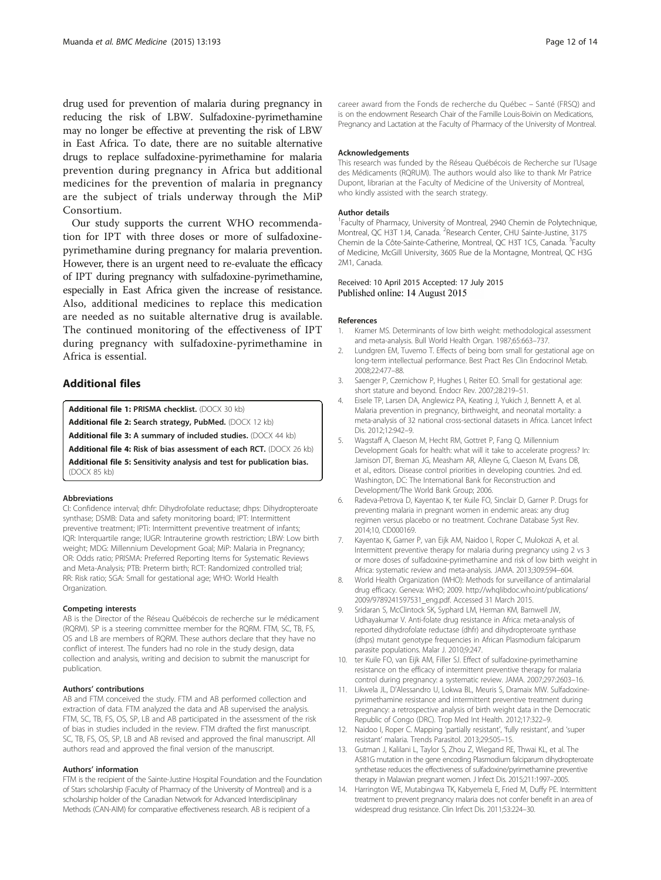<span id="page-11-0"></span>drug used for prevention of malaria during pregnancy in reducing the risk of LBW. Sulfadoxine-pyrimethamine may no longer be effective at preventing the risk of LBW in East Africa. To date, there are no suitable alternative drugs to replace sulfadoxine-pyrimethamine for malaria prevention during pregnancy in Africa but additional medicines for the prevention of malaria in pregnancy are the subject of trials underway through the MiP Consortium.

Our study supports the current WHO recommendation for IPT with three doses or more of sulfadoxinepyrimethamine during pregnancy for malaria prevention. However, there is an urgent need to re-evaluate the efficacy of IPT during pregnancy with sulfadoxine-pyrimethamine, especially in East Africa given the increase of resistance. Also, additional medicines to replace this medication are needed as no suitable alternative drug is available. The continued monitoring of the effectiveness of IPT during pregnancy with sulfadoxine-pyrimethamine in Africa is essential.

# Additional files

[Additional file 1:](http://www.biomedcentral.com/content/supplementary/s12916-015-0429-x-s1.docx) PRISMA checklist. (DOCX 30 kb)

[Additional file 2:](http://www.biomedcentral.com/content/supplementary/s12916-015-0429-x-s2.docx) Search strategy, PubMed. (DOCX 12 kb)

[Additional file 3:](http://www.biomedcentral.com/content/supplementary/s12916-015-0429-x-s3.docx) A summary of included studies. (DOCX 44 kb)

[Additional file 4:](http://www.biomedcentral.com/content/supplementary/s12916-015-0429-x-s4.docx) Risk of bias assessment of each RCT. (DOCX 26 kb)

[Additional file 5:](http://www.biomedcentral.com/content/supplementary/s12916-015-0429-x-s5.docx) Sensitivity analysis and test for publication bias. (DOCX 85 kb)

#### Abbreviations

CI: Confidence interval; dhfr: Dihydrofolate reductase; dhps: Dihydropteroate synthase; DSMB: Data and safety monitoring board; IPT: Intermittent preventive treatment; IPTi: Intermittent preventive treatment of infants; IQR: Interquartile range; IUGR: Intrauterine growth restriction; LBW: Low birth weight; MDG: Millennium Development Goal; MiP: Malaria in Pregnancy; OR: Odds ratio; PRISMA: Preferred Reporting Items for Systematic Reviews and Meta-Analysis; PTB: Preterm birth; RCT: Randomized controlled trial; RR: Risk ratio; SGA: Small for gestational age; WHO: World Health Organization.

#### Competing interests

AB is the Director of the Réseau Québécois de recherche sur le médicament (RQRM). SP is a steering committee member for the RQRM. FTM, SC, TB, FS, OS and LB are members of RQRM. These authors declare that they have no conflict of interest. The funders had no role in the study design, data collection and analysis, writing and decision to submit the manuscript for publication.

#### Authors' contributions

AB and FTM conceived the study. FTM and AB performed collection and extraction of data. FTM analyzed the data and AB supervised the analysis. FTM, SC, TB, FS, OS, SP, LB and AB participated in the assessment of the risk of bias in studies included in the review. FTM drafted the first manuscript. SC, TB, FS, OS, SP, LB and AB revised and approved the final manuscript. All authors read and approved the final version of the manuscript.

#### Authors' information

FTM is the recipient of the Sainte-Justine Hospital Foundation and the Foundation of Stars scholarship (Faculty of Pharmacy of the University of Montreal) and is a scholarship holder of the Canadian Network for Advanced Interdisciplinary Methods (CAN-AIM) for comparative effectiveness research. AB is recipient of a

career award from the Fonds de recherche du Québec – Santé (FRSQ) and is on the endowment Research Chair of the Famille Louis-Boivin on Medications, Pregnancy and Lactation at the Faculty of Pharmacy of the University of Montreal.

#### Acknowledgements

This research was funded by the Réseau Québécois de Recherche sur l'Usage des Médicaments (RQRUM). The authors would also like to thank Mr Patrice Dupont, librarian at the Faculty of Medicine of the University of Montreal, who kindly assisted with the search strategy.

#### Author details

<sup>1</sup> Faculty of Pharmacy, University of Montreal, 2940 Chemin de Polytechnique, Montreal, QC H3T 1J4, Canada. <sup>2</sup> Research Center, CHU Sainte-Justine, 3175 Chemin de la Côte-Sainte-Catherine, Montreal, QC H3T 1C5, Canada. <sup>3</sup>Faculty of Medicine, McGill University, 3605 Rue de la Montagne, Montreal, QC H3G 2M1, Canada.

# Received: 10 April 2015 Accepted: 17 July 2015 Published online: 14 August 2015

#### References

- 1. Kramer MS. Determinants of low birth weight: methodological assessment and meta-analysis. Bull World Health Organ. 1987;65:663–737.
- 2. Lundgren EM, Tuvemo T. Effects of being born small for gestational age on long-term intellectual performance. Best Pract Res Clin Endocrinol Metab. 2008;22:477–88.
- 3. Saenger P, Czernichow P, Hughes I, Reiter EO. Small for gestational age: short stature and beyond. Endocr Rev. 2007;28:219–51.
- 4. Eisele TP, Larsen DA, Anglewicz PA, Keating J, Yukich J, Bennett A, et al. Malaria prevention in pregnancy, birthweight, and neonatal mortality: a meta-analysis of 32 national cross-sectional datasets in Africa. Lancet Infect Dis. 2012;12:942–9.
- 5. Wagstaff A, Claeson M, Hecht RM, Gottret P, Fang Q. Millennium Development Goals for health: what will it take to accelerate progress? In: Jamison DT, Breman JG, Measham AR, Alleyne G, Claeson M, Evans DB, et al., editors. Disease control priorities in developing countries. 2nd ed. Washington, DC: The International Bank for Reconstruction and Development/The World Bank Group; 2006.
- 6. Radeva-Petrova D, Kayentao K, ter Kuile FO, Sinclair D, Garner P. Drugs for preventing malaria in pregnant women in endemic areas: any drug regimen versus placebo or no treatment. Cochrane Database Syst Rev. 2014;10, CD000169.
- 7. Kayentao K, Garner P, van Eijk AM, Naidoo I, Roper C, Mulokozi A, et al. Intermittent preventive therapy for malaria during pregnancy using 2 vs 3 or more doses of sulfadoxine-pyrimethamine and risk of low birth weight in Africa: systematic review and meta-analysis. JAMA. 2013;309:594–604.
- 8. World Health Organization (WHO): Methods for surveillance of antimalarial drug efficacy. Geneva: WHO; 2009. [http://whqlibdoc.who.int/publications/](http://whqlibdoc.who.int/publications/2009/9789241597531_eng.pdf) [2009/9789241597531\\_eng.pdf.](http://whqlibdoc.who.int/publications/2009/9789241597531_eng.pdf) Accessed 31 March 2015.
- 9. Sridaran S, McClintock SK, Syphard LM, Herman KM, Barnwell JW, Udhayakumar V. Anti-folate drug resistance in Africa: meta-analysis of reported dihydrofolate reductase (dhfr) and dihydropteroate synthase (dhps) mutant genotype frequencies in African Plasmodium falciparum parasite populations. Malar J. 2010;9:247.
- 10. ter Kuile FO, van Eijk AM, Filler SJ. Effect of sulfadoxine-pyrimethamine resistance on the efficacy of intermittent preventive therapy for malaria control during pregnancy: a systematic review. JAMA. 2007;297:2603–16.
- 11. Likwela JL, D'Alessandro U, Lokwa BL, Meuris S, Dramaix MW. Sulfadoxinepyrimethamine resistance and intermittent preventive treatment during pregnancy: a retrospective analysis of birth weight data in the Democratic Republic of Congo (DRC). Trop Med Int Health. 2012;17:322–9.
- 12. Naidoo I, Roper C. Mapping 'partially resistant', 'fully resistant', and 'super resistant' malaria. Trends Parasitol. 2013;29:505–15.
- 13. Gutman J, Kalilani L, Taylor S, Zhou Z, Wiegand RE, Thwai KL, et al. The A581G mutation in the gene encoding Plasmodium falciparum dihydropteroate synthetase reduces the effectiveness of sulfadoxine/pyrimethamine preventive therapy in Malawian pregnant women. J Infect Dis. 2015;211:1997–2005.
- 14. Harrington WE, Mutabingwa TK, Kabyemela E, Fried M, Duffy PE. Intermittent treatment to prevent pregnancy malaria does not confer benefit in an area of widespread drug resistance. Clin Infect Dis. 2011;53:224–30.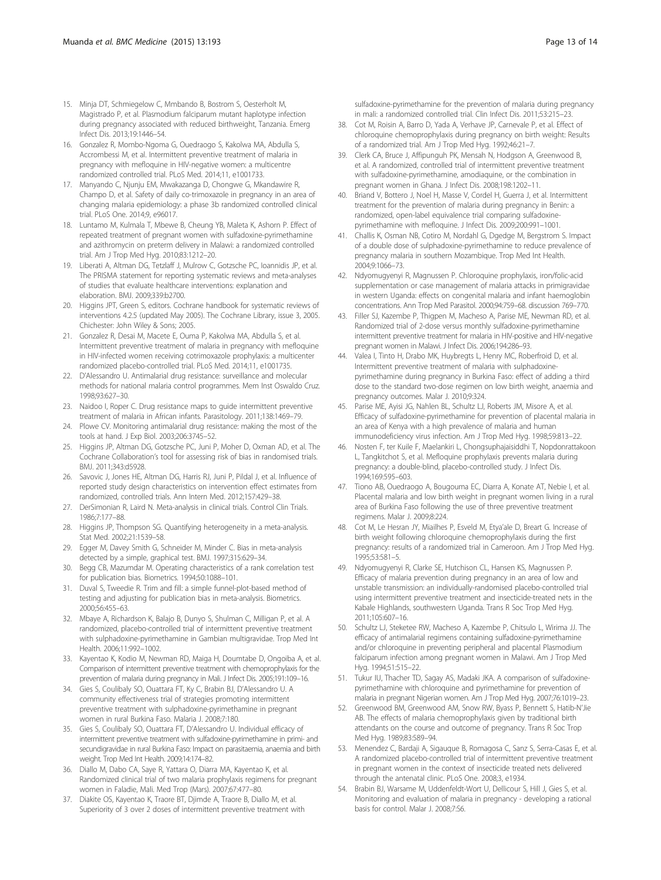- <span id="page-12-0"></span>15. Minja DT, Schmiegelow C, Mmbando B, Bostrom S, Oesterholt M, Magistrado P, et al. Plasmodium falciparum mutant haplotype infection during pregnancy associated with reduced birthweight, Tanzania. Emerg Infect Dis. 2013;19:1446–54.
- 16. Gonzalez R, Mombo-Ngoma G, Ouedraogo S, Kakolwa MA, Abdulla S, Accrombessi M, et al. Intermittent preventive treatment of malaria in pregnancy with mefloquine in HIV-negative women: a multicentre randomized controlled trial. PLoS Med. 2014;11, e1001733.
- 17. Manyando C, Njunju EM, Mwakazanga D, Chongwe G, Mkandawire R, Champo D, et al. Safety of daily co-trimoxazole in pregnancy in an area of changing malaria epidemiology: a phase 3b randomized controlled clinical trial. PLoS One. 2014;9, e96017.
- 18. Luntamo M, Kulmala T, Mbewe B, Cheung YB, Maleta K, Ashorn P. Effect of repeated treatment of pregnant women with sulfadoxine-pyrimethamine and azithromycin on preterm delivery in Malawi: a randomized controlled trial. Am J Trop Med Hyg. 2010;83:1212–20.
- 19. Liberati A, Altman DG, Tetzlaff J, Mulrow C, Gotzsche PC, Ioannidis JP, et al. The PRISMA statement for reporting systematic reviews and meta-analyses of studies that evaluate healthcare interventions: explanation and elaboration. BMJ. 2009;339:b2700.
- 20. Higgins JPT, Green S, editors. Cochrane handbook for systematic reviews of interventions 4.2.5 (updated May 2005). The Cochrane Library, issue 3, 2005. Chichester: John Wiley & Sons; 2005.
- 21. Gonzalez R, Desai M, Macete E, Ouma P, Kakolwa MA, Abdulla S, et al. Intermittent preventive treatment of malaria in pregnancy with mefloquine in HIV-infected women receiving cotrimoxazole prophylaxis: a multicenter randomized placebo-controlled trial. PLoS Med. 2014;11, e1001735.
- 22. D'Alessandro U. Antimalarial drug resistance: surveillance and molecular methods for national malaria control programmes. Mem Inst Oswaldo Cruz. 1998;93:627–30.
- 23. Naidoo I, Roper C. Drug resistance maps to guide intermittent preventive treatment of malaria in African infants. Parasitology. 2011;138:1469–79.
- 24. Plowe CV. Monitoring antimalarial drug resistance: making the most of the tools at hand. J Exp Biol. 2003;206:3745–52.
- 25. Higgins JP, Altman DG, Gotzsche PC, Juni P, Moher D, Oxman AD, et al. The Cochrane Collaboration's tool for assessing risk of bias in randomised trials. BMJ. 2011;343:d5928.
- 26. Savovic J, Jones HE, Altman DG, Harris RJ, Juni P, Pildal J, et al. Influence of reported study design characteristics on intervention effect estimates from randomized, controlled trials. Ann Intern Med. 2012;157:429–38.
- 27. DerSimonian R, Laird N. Meta-analysis in clinical trials. Control Clin Trials. 1986;7:177–88.
- 28. Higgins JP, Thompson SG. Quantifying heterogeneity in a meta-analysis. Stat Med. 2002;21:1539–58.
- 29. Egger M, Davey Smith G, Schneider M, Minder C. Bias in meta-analysis detected by a simple, graphical test. BMJ. 1997;315:629–34.
- 30. Begg CB, Mazumdar M. Operating characteristics of a rank correlation test for publication bias. Biometrics. 1994;50:1088–101.
- 31. Duval S, Tweedie R. Trim and fill: a simple funnel-plot-based method of testing and adjusting for publication bias in meta-analysis. Biometrics. 2000;56:455–63.
- 32. Mbaye A, Richardson K, Balajo B, Dunyo S, Shulman C, Milligan P, et al. A randomized, placebo-controlled trial of intermittent preventive treatment with sulphadoxine-pyrimethamine in Gambian multigravidae. Trop Med Int Health. 2006;11:992–1002.
- 33. Kayentao K, Kodio M, Newman RD, Maiga H, Doumtabe D, Ongoiba A, et al. Comparison of intermittent preventive treatment with chemoprophylaxis for the prevention of malaria during pregnancy in Mali. J Infect Dis. 2005;191:109–16.
- 34. Gies S, Coulibaly SO, Ouattara FT, Ky C, Brabin BJ, D'Alessandro U. A community effectiveness trial of strategies promoting intermittent preventive treatment with sulphadoxine-pyrimethamine in pregnant women in rural Burkina Faso. Malaria J. 2008;7:180.
- 35. Gies S, Coulibaly SO, Ouattara FT, D'Alessandro U. Individual efficacy of intermittent preventive treatment with sulfadoxine-pyrimethamine in primi- and secundigravidae in rural Burkina Faso: Impact on parasitaemia, anaemia and birth weight. Trop Med Int Health. 2009;14:174–82.
- 36. Diallo M, Dabo CA, Saye R, Yattara O, Diarra MA, Kayentao K, et al. Randomized clinical trial of two malaria prophylaxis regimens for pregnant women in Faladie, Mali. Med Trop (Mars). 2007;67:477–80.
- 37. Diakite OS, Kayentao K, Traore BT, Djimde A, Traore B, Diallo M, et al. Superiority of 3 over 2 doses of intermittent preventive treatment with

sulfadoxine-pyrimethamine for the prevention of malaria during pregnancy in mali: a randomized controlled trial. Clin Infect Dis. 2011;53:215–23.

- 38. Cot M, Roisin A, Barro D, Yada A, Verhave JP, Carnevale P, et al. Effect of chloroquine chemoprophylaxis during pregnancy on birth weight: Results of a randomized trial. Am J Trop Med Hyg. 1992;46:21–7.
- 39. Clerk CA, Bruce J, Affipunguh PK, Mensah N, Hodgson A, Greenwood B, et al. A randomized, controlled trial of intermittent preventive treatment with sulfadoxine-pyrimethamine, amodiaquine, or the combination in pregnant women in Ghana. J Infect Dis. 2008;198:1202–11.
- 40. Briand V, Bottero J, Noel H, Masse V, Cordel H, Guerra J, et al. Intermittent treatment for the prevention of malaria during pregnancy in Benin: a randomized, open-label equivalence trial comparing sulfadoxinepyrimethamine with mefloquine. J Infect Dis. 2009;200:991–1001.
- 41. Challis K, Osman NB, Cotiro M, Nordahl G, Dgedge M, Bergstrom S. Impact of a double dose of sulphadoxine-pyrimethamine to reduce prevalence of pregnancy malaria in southern Mozambique. Trop Med Int Health. 2004;9:1066–73.
- 42. Ndyomugyenyi R, Magnussen P. Chloroquine prophylaxis, iron/folic-acid supplementation or case management of malaria attacks in primigravidae in western Uganda: effects on congenital malaria and infant haemoglobin concentrations. Ann Trop Med Parasitol. 2000;94:759–68. discussion 769–770.
- 43. Filler SJ, Kazembe P, Thigpen M, Macheso A, Parise ME, Newman RD, et al. Randomized trial of 2-dose versus monthly sulfadoxine-pyrimethamine intermittent preventive treatment for malaria in HIV-positive and HIV-negative pregnant women in Malawi. J Infect Dis. 2006;194:286–93.
- 44. Valea I, Tinto H, Drabo MK, Huybregts L, Henry MC, Roberfroid D, et al. Intermittent preventive treatment of malaria with sulphadoxinepyrimethamine during pregnancy in Burkina Faso: effect of adding a third dose to the standard two-dose regimen on low birth weight, anaemia and pregnancy outcomes. Malar J. 2010;9:324.
- 45. Parise ME, Ayisi JG, Nahlen BL, Schultz LJ, Roberts JM, Misore A, et al. Efficacy of sulfadoxine-pyrimethamine for prevention of placental malaria in an area of Kenya with a high prevalence of malaria and human immunodeficiency virus infection. Am J Trop Med Hyg. 1998;59:813–22.
- 46. Nosten F, ter Kuile F, Maelankiri L, Chongsuphajaisiddhi T, Nopdonrattakoon L, Tangkitchot S, et al. Mefloquine prophylaxis prevents malaria during pregnancy: a double-blind, placebo-controlled study. J Infect Dis. 1994;169:595–603.
- 47. Tiono AB, Ouedraogo A, Bougouma EC, Diarra A, Konate AT, Nebie I, et al. Placental malaria and low birth weight in pregnant women living in a rural area of Burkina Faso following the use of three preventive treatment regimens. Malar J. 2009;8:224.
- Cot M, Le Hesran JY, Miailhes P, Esveld M, Etya'ale D, Breart G. Increase of birth weight following chloroquine chemoprophylaxis during the first pregnancy: results of a randomized trial in Cameroon. Am J Trop Med Hyg. 1995;53:581–5.
- 49. Ndyomugyenyi R, Clarke SE, Hutchison CL, Hansen KS, Magnussen P. Efficacy of malaria prevention during pregnancy in an area of low and unstable transmission: an individually-randomised placebo-controlled trial using intermittent preventive treatment and insecticide-treated nets in the Kabale Highlands, southwestern Uganda. Trans R Soc Trop Med Hyg. 2011;105:607–16.
- 50. Schultz LJ, Steketee RW, Macheso A, Kazembe P, Chitsulo L, Wirima JJ. The efficacy of antimalarial regimens containing sulfadoxine-pyrimethamine and/or chloroquine in preventing peripheral and placental Plasmodium falciparum infection among pregnant women in Malawi. Am J Trop Med Hyg. 1994;51:515–22.
- 51. Tukur IU, Thacher TD, Sagay AS, Madaki JKA. A comparison of sulfadoxinepyrimethamine with chloroquine and pyrimethamine for prevention of malaria in pregnant Nigerian women. Am J Trop Med Hyg. 2007;76:1019–23.
- 52. Greenwood BM, Greenwood AM, Snow RW, Byass P, Bennett S, Hatib-N'Jie AB. The effects of malaria chemoprophylaxis given by traditional birth attendants on the course and outcome of pregnancy. Trans R Soc Trop Med Hyg. 1989;83:589–94.
- 53. Menendez C, Bardaji A, Sigauque B, Romagosa C, Sanz S, Serra-Casas E, et al. A randomized placebo-controlled trial of intermittent preventive treatment in pregnant women in the context of insecticide treated nets delivered through the antenatal clinic. PLoS One. 2008;3, e1934.
- 54. Brabin BJ, Warsame M, Uddenfeldt-Wort U, Dellicour S, Hill J, Gies S, et al. Monitoring and evaluation of malaria in pregnancy - developing a rational basis for control. Malar J. 2008;7:S6.